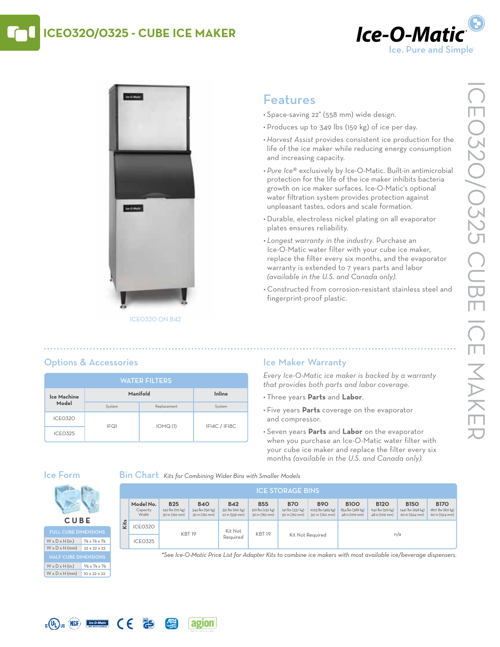## **ICE0320/0325 - Cube Ice Maker**





# Features

- • Space-saving 22" (558 mm) wide design.
- Produces up to 349 lbs (159 kg) of ice per day.
- *• Harvest Assist* provides consistent ice production for the life of the ice maker while reducing energy consumption and increasing capacity.
- *• Pure Ice*® exclusively by Ice-O-Matic. Built-in antimicrobial protection for the life of the ice maker inhibits bacteria growth on ice maker surfaces. Ice-O-Matic's optional water filtration system provides protection against unpleasant tastes, odors and scale formation.
- • Durable, electroless nickel plating on all evaporator plates ensures reliability.
- *• Longest warranty in the industry.* Purchase an Ice-O-Matic water filter with your cube ice maker, replace the filter every six months, and the evaporator warranty is extended to 7 years parts and labor *(available in the U.S. and Canada only)*.
- • Constructed from corrosion-resistant stainless steel and fingerprint-proof plastic.

## Options & Accessories

| <b>WATER FILTERS</b> |          |             |               |  |  |  |  |  |
|----------------------|----------|-------------|---------------|--|--|--|--|--|
| Ice Machine<br>Model | Manifold | Inline      |               |  |  |  |  |  |
|                      | System   | Replacement | System        |  |  |  |  |  |
| ICEO32O              | IFQ1     | IOMQ(1)     | IFI4C / IFI8C |  |  |  |  |  |
| <b>ICEO325</b>       |          |             |               |  |  |  |  |  |

**PS** 

### Ice Maker Warranty

*Every Ice-O-Matic ice maker is backed by a warranty that provides both parts and labor coverage.*

- • Three years **Parts** and **Labor**.
- • Five years **Parts** coverage on the evaporator and compressor.
- • Seven years **Parts** and **Labor** on the evaporator when you purchase an Ice-O-Matic water filter with your cube ice maker and replace the filter every six months *(available in the U.S. and Canada only).*

### Ice Form

Bin Chart *Kits for Combining Wider Bins with Smaller Models*

|      | <b>ICE STORAGE BINS</b>        |                                                  |                                                  |                                                  |                                                  |                                                  |                                                   |                                                    |                                                     |                                                     |                                                     |
|------|--------------------------------|--------------------------------------------------|--------------------------------------------------|--------------------------------------------------|--------------------------------------------------|--------------------------------------------------|---------------------------------------------------|----------------------------------------------------|-----------------------------------------------------|-----------------------------------------------------|-----------------------------------------------------|
|      | Model No.<br>Capacity<br>Width | <b>B25</b><br>242 lbs (110 kg)<br>30 in (762 mm) | <b>B40</b><br>344 lbs (156 kg)<br>30 in (762 mm) | <b>B42</b><br>351 lbs (160 kg)<br>22 in (559 mm) | <b>B55</b><br>510 lbs (232 kg)<br>30 in (762 mm) | <b>B70</b><br>741 lbs (337 kg)<br>30 in (762 mm) | <b>B90</b><br>1023 lbs (465 kg)<br>30 in (762 mm) | <b>BIOO</b><br>854 lbs (388 kg)<br>48 in (1219 mm) | <b>B120</b><br>1142 lbs (519 kg)<br>48 in (1219 mm) | <b>B150</b><br>1447 lbs (658 kg)<br>60 in (1524 mm) | <b>B170</b><br>1807 lbs (821 kg)<br>60 in (1524 mm) |
| Kits | ICEO32O                        | <b>KBT19</b>                                     |                                                  | Kit Not                                          |                                                  | <b>KBT 19</b><br>Kit Not Required                |                                                   | n/a                                                |                                                     |                                                     |                                                     |
|      | <b>ICEO325</b>                 |                                                  |                                                  | Required                                         |                                                  |                                                  |                                                   |                                                    |                                                     |                                                     |                                                     |

*\*See Ice-O-Matic Price List for Adapter Kits to combine ice makers with most available ice/beverage dispensers.*





 $W \times D \times H$  (in.)  $3/8 \times 7/8 \times 7/8$  $W \times D \times H$  (mm) 10 x 22 x 22